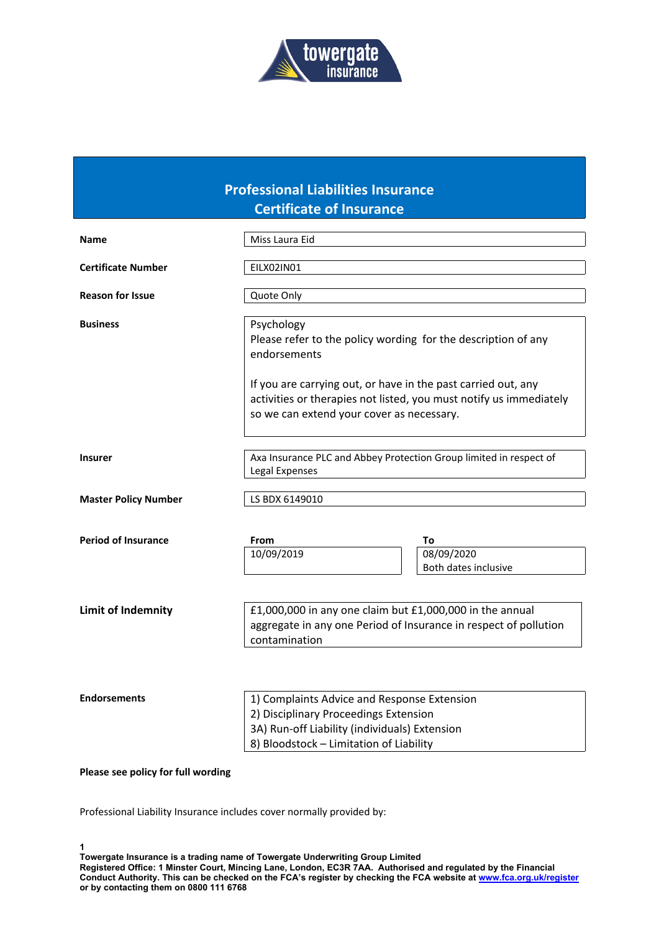

## **Professional Liabilities Insurance Certificate of Insurance**

| <b>Name</b>                        | Miss Laura Eid                                                                                                                                                                                                                                                                  |  |  |  |
|------------------------------------|---------------------------------------------------------------------------------------------------------------------------------------------------------------------------------------------------------------------------------------------------------------------------------|--|--|--|
| <b>Certificate Number</b>          | EILX02IN01                                                                                                                                                                                                                                                                      |  |  |  |
| <b>Reason for Issue</b>            | Quote Only                                                                                                                                                                                                                                                                      |  |  |  |
| <b>Business</b>                    | Psychology<br>Please refer to the policy wording for the description of any<br>endorsements<br>If you are carrying out, or have in the past carried out, any<br>activities or therapies not listed, you must notify us immediately<br>so we can extend your cover as necessary. |  |  |  |
|                                    |                                                                                                                                                                                                                                                                                 |  |  |  |
| <b>Insurer</b>                     | Axa Insurance PLC and Abbey Protection Group limited in respect of<br>Legal Expenses                                                                                                                                                                                            |  |  |  |
| <b>Master Policy Number</b>        | LS BDX 6149010                                                                                                                                                                                                                                                                  |  |  |  |
| <b>Period of Insurance</b>         | From<br>To<br>08/09/2020<br>10/09/2019<br>Both dates inclusive                                                                                                                                                                                                                  |  |  |  |
| <b>Limit of Indemnity</b>          | £1,000,000 in any one claim but £1,000,000 in the annual<br>aggregate in any one Period of Insurance in respect of pollution<br>contamination                                                                                                                                   |  |  |  |
| <b>Endorsements</b>                | 1) Complaints Advice and Response Extension<br>2) Disciplinary Proceedings Extension<br>3A) Run-off Liability (individuals) Extension<br>8) Bloodstock - Limitation of Liability                                                                                                |  |  |  |
| Please see policy for full wording |                                                                                                                                                                                                                                                                                 |  |  |  |

Professional Liability Insurance includes cover normally provided by: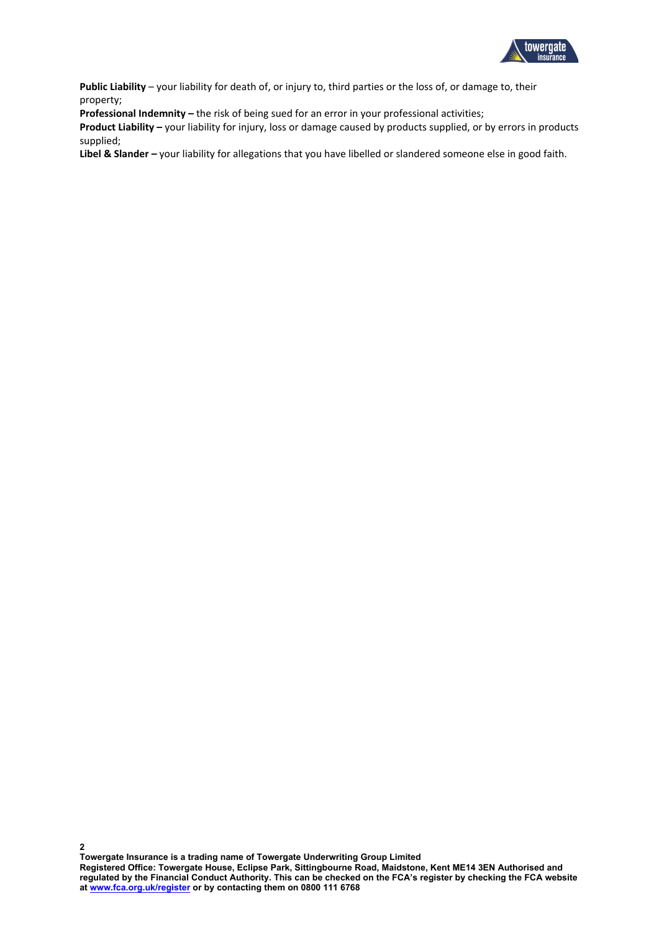

**Public Liability** – your liability for death of, or injury to, third parties or the loss of, or damage to, their property;

**Professional Indemnity –** the risk of being sued for an error in your professional activities;

**Product Liability –** your liability for injury, loss or damage caused by products supplied, or by errors in products supplied;

**Libel & Slander –** your liability for allegations that you have libelled or slandered someone else in good faith.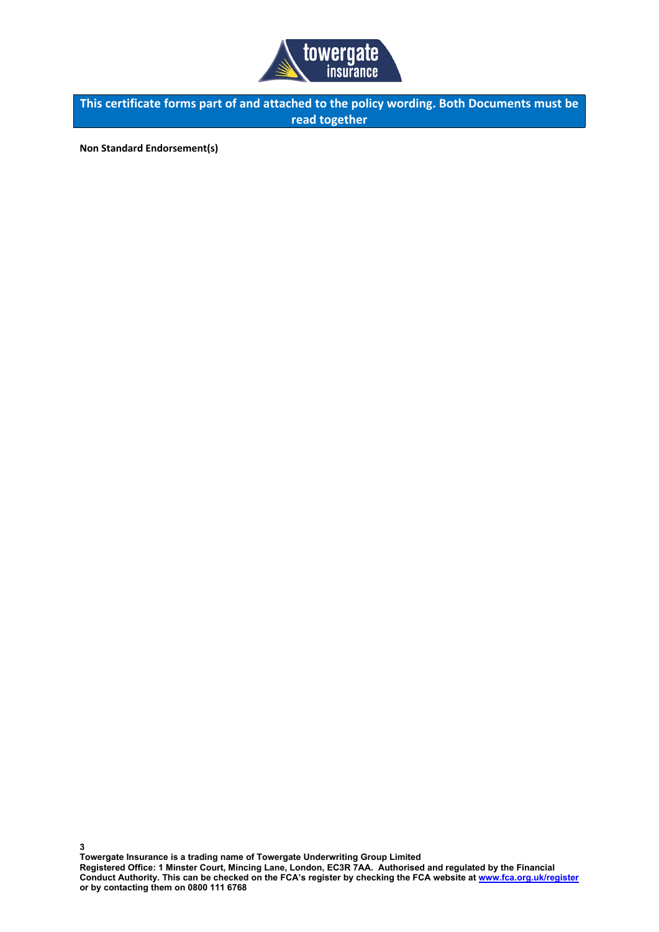

**This certificate forms part of and attached to the policy wording. Both Documents must be read together**

**Non Standard Endorsement(s)**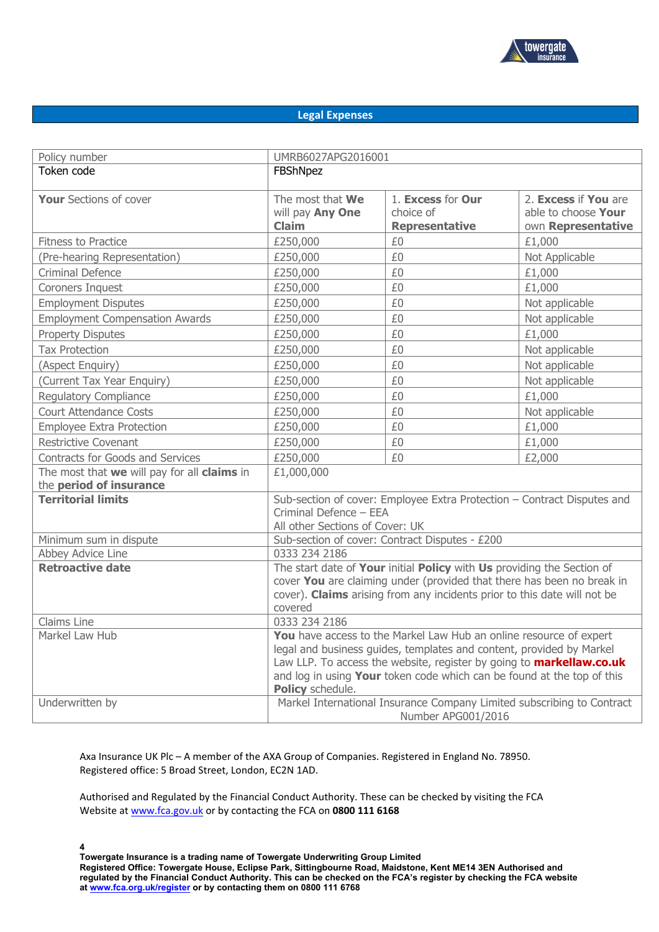

## **Legal Expenses**

| Policy number                                                          | UMRB6027APG2016001                                                                                                                                                                                                                                                                                                      |                                                         |                                                                   |  |
|------------------------------------------------------------------------|-------------------------------------------------------------------------------------------------------------------------------------------------------------------------------------------------------------------------------------------------------------------------------------------------------------------------|---------------------------------------------------------|-------------------------------------------------------------------|--|
| Token code                                                             | FBShNpez                                                                                                                                                                                                                                                                                                                |                                                         |                                                                   |  |
| <b>Your Sections of cover</b>                                          | The most that We<br>will pay Any One<br><b>Claim</b>                                                                                                                                                                                                                                                                    | 1. Excess for Our<br>choice of<br><b>Representative</b> | 2. Excess if You are<br>able to choose Your<br>own Representative |  |
| <b>Fitness to Practice</b>                                             | £250,000                                                                                                                                                                                                                                                                                                                | £0                                                      | £1,000                                                            |  |
| (Pre-hearing Representation)                                           | £250,000                                                                                                                                                                                                                                                                                                                | £0                                                      | Not Applicable                                                    |  |
| <b>Criminal Defence</b>                                                | £250,000                                                                                                                                                                                                                                                                                                                | £0                                                      | £1,000                                                            |  |
| Coroners Inquest                                                       | £250,000                                                                                                                                                                                                                                                                                                                | £0                                                      | £1,000                                                            |  |
| <b>Employment Disputes</b>                                             | £250,000                                                                                                                                                                                                                                                                                                                | £0                                                      | Not applicable                                                    |  |
| <b>Employment Compensation Awards</b>                                  | £250,000                                                                                                                                                                                                                                                                                                                | £0                                                      | Not applicable                                                    |  |
| <b>Property Disputes</b>                                               | £250,000                                                                                                                                                                                                                                                                                                                | £0                                                      | £1,000                                                            |  |
| <b>Tax Protection</b>                                                  | £250,000                                                                                                                                                                                                                                                                                                                | £0                                                      | Not applicable                                                    |  |
| (Aspect Enquiry)                                                       | £250,000                                                                                                                                                                                                                                                                                                                | £0                                                      | Not applicable                                                    |  |
| (Current Tax Year Enquiry)                                             | £250,000                                                                                                                                                                                                                                                                                                                | £0                                                      | Not applicable                                                    |  |
| <b>Regulatory Compliance</b>                                           | £250,000                                                                                                                                                                                                                                                                                                                | £0                                                      | £1,000                                                            |  |
| <b>Court Attendance Costs</b>                                          | £250,000                                                                                                                                                                                                                                                                                                                | £0                                                      | Not applicable                                                    |  |
| <b>Employee Extra Protection</b>                                       | £250,000                                                                                                                                                                                                                                                                                                                | £0                                                      | £1,000                                                            |  |
| <b>Restrictive Covenant</b>                                            | £250,000                                                                                                                                                                                                                                                                                                                | £0                                                      | £1,000                                                            |  |
| Contracts for Goods and Services                                       | £250,000                                                                                                                                                                                                                                                                                                                | £0                                                      | £2,000                                                            |  |
| The most that we will pay for all claims in<br>the period of insurance | £1,000,000                                                                                                                                                                                                                                                                                                              |                                                         |                                                                   |  |
| <b>Territorial limits</b>                                              | Sub-section of cover: Employee Extra Protection - Contract Disputes and<br>Criminal Defence - EEA<br>All other Sections of Cover: UK                                                                                                                                                                                    |                                                         |                                                                   |  |
| Minimum sum in dispute                                                 | Sub-section of cover: Contract Disputes - £200                                                                                                                                                                                                                                                                          |                                                         |                                                                   |  |
| Abbey Advice Line                                                      | 0333 234 2186                                                                                                                                                                                                                                                                                                           |                                                         |                                                                   |  |
| <b>Retroactive date</b>                                                | The start date of Your initial Policy with Us providing the Section of<br>cover You are claiming under (provided that there has been no break in<br>cover). Claims arising from any incidents prior to this date will not be<br>covered                                                                                 |                                                         |                                                                   |  |
| Claims Line                                                            | 0333 234 2186                                                                                                                                                                                                                                                                                                           |                                                         |                                                                   |  |
| Markel Law Hub                                                         | You have access to the Markel Law Hub an online resource of expert<br>legal and business guides, templates and content, provided by Markel<br>Law LLP. To access the website, register by going to <b>markellaw.co.uk</b><br>and log in using Your token code which can be found at the top of this<br>Policy schedule. |                                                         |                                                                   |  |
| Underwritten by                                                        | Markel International Insurance Company Limited subscribing to Contract<br>Number APG001/2016                                                                                                                                                                                                                            |                                                         |                                                                   |  |

Axa Insurance UK Plc – A member of the AXA Group of Companies. Registered in England No. 78950. Registered office: 5 Broad Street, London, EC2N 1AD.

Authorised and Regulated by the Financial Conduct Authority. These can be checked by visiting the FCA Website at [www.fca.gov.uk](http://www.fca.gov.uk/) or by contacting the FCA on **0800 111 6168**

**Towergate Insurance is a trading name of Towergate Underwriting Group Limited Registered Office: Towergate House, Eclipse Park, Sittingbourne Road, Maidstone, Kent ME14 3EN Authorised and** regulated by the Financial Conduct Authority. This can be checked on the FCA's register by checking the FCA website **at [www.fca.org.uk/register](http://www.fca.org.uk/register) or by contacting them on 0800 111 6768**

**4**